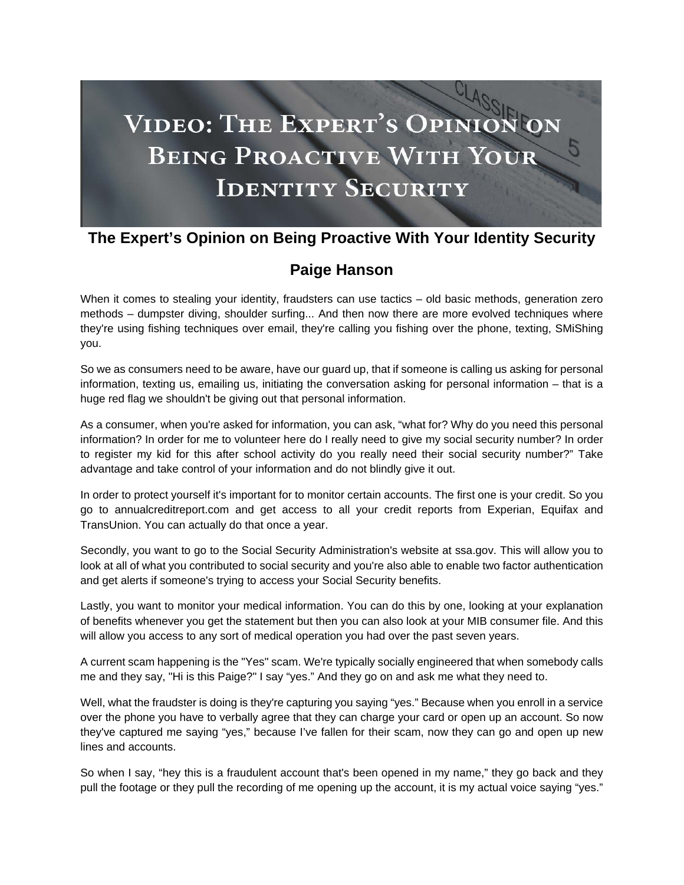## N ON VIDEO: THE EXPERT'S OPINION **BEING PROACTIVE WITH YOU IDENTITY SECURITY**

## **The Expert's Opinion on Being Proactive With Your Identity Security**

## **Paige Hanson**

When it comes to stealing your identity, fraudsters can use tactics – old basic methods, generation zero methods – dumpster diving, shoulder surfing... And then now there are more evolved techniques where they're using fishing techniques over email, they're calling you fishing over the phone, texting, SMiShing you.

So we as consumers need to be aware, have our guard up, that if someone is calling us asking for personal information, texting us, emailing us, initiating the conversation asking for personal information – that is a huge red flag we shouldn't be giving out that personal information.

As a consumer, when you're asked for information, you can ask, "what for? Why do you need this personal information? In order for me to volunteer here do I really need to give my social security number? In order to register my kid for this after school activity do you really need their social security number?" Take advantage and take control of your information and do not blindly give it out.

In order to protect yourself it's important for to monitor certain accounts. The first one is your credit. So you go to annualcreditreport.com and get access to all your credit reports from Experian, Equifax and TransUnion. You can actually do that once a year.

Secondly, you want to go to the Social Security Administration's website at ssa.gov. This will allow you to look at all of what you contributed to social security and you're also able to enable two factor authentication and get alerts if someone's trying to access your Social Security benefits.

Lastly, you want to monitor your medical information. You can do this by one, looking at your explanation of benefits whenever you get the statement but then you can also look at your MIB consumer file. And this will allow you access to any sort of medical operation you had over the past seven years.

A current scam happening is the "Yes" scam. We're typically socially engineered that when somebody calls me and they say, "Hi is this Paige?" I say "yes." And they go on and ask me what they need to.

Well, what the fraudster is doing is they're capturing you saying "yes." Because when you enroll in a service over the phone you have to verbally agree that they can charge your card or open up an account. So now they've captured me saying "yes," because I've fallen for their scam, now they can go and open up new lines and accounts.

So when I say, "hey this is a fraudulent account that's been opened in my name," they go back and they pull the footage or they pull the recording of me opening up the account, it is my actual voice saying "yes."